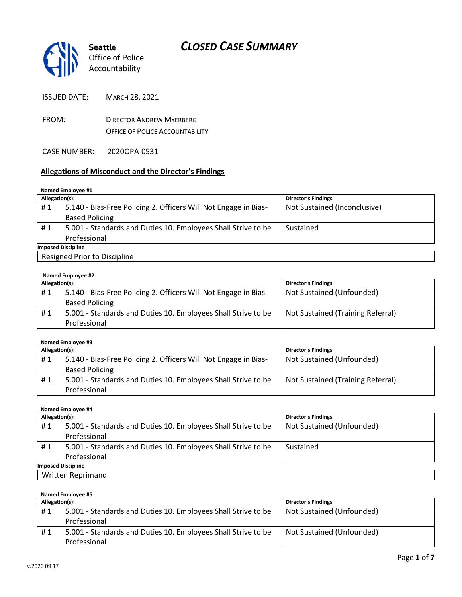

ISSUED DATE: MARCH 28, 2021

FROM: DIRECTOR ANDREW MYERBERG OFFICE OF POLICE ACCOUNTABILITY

CASE NUMBER: 2020OPA-0531

#### **Allegations of Misconduct and the Director's Findings**

#### **Named Employee #1**

| Allegation(s):               |                                                                 | <b>Director's Findings</b>   |  |
|------------------------------|-----------------------------------------------------------------|------------------------------|--|
| #1                           | 5.140 - Bias-Free Policing 2. Officers Will Not Engage in Bias- | Not Sustained (Inconclusive) |  |
|                              | <b>Based Policing</b>                                           |                              |  |
| #1                           | 5.001 - Standards and Duties 10. Employees Shall Strive to be   | Sustained                    |  |
|                              | Professional                                                    |                              |  |
| <b>Imposed Discipline</b>    |                                                                 |                              |  |
| Resigned Prior to Discipline |                                                                 |                              |  |

| Named Employee #2 |                                                                 |                                   |  |
|-------------------|-----------------------------------------------------------------|-----------------------------------|--|
| Allegation(s):    |                                                                 | <b>Director's Findings</b>        |  |
| #1                | 5.140 - Bias-Free Policing 2. Officers Will Not Engage in Bias- | Not Sustained (Unfounded)         |  |
|                   | <b>Based Policing</b>                                           |                                   |  |
| #1                | 5.001 - Standards and Duties 10. Employees Shall Strive to be   | Not Sustained (Training Referral) |  |
|                   | Professional                                                    |                                   |  |

#### **Named Employee #3**

| Allegation(s): |                                                                 | <b>Director's Findings</b>        |
|----------------|-----------------------------------------------------------------|-----------------------------------|
| #1             | 5.140 - Bias-Free Policing 2. Officers Will Not Engage in Bias- | Not Sustained (Unfounded)         |
|                | <b>Based Policing</b>                                           |                                   |
| #1             | 5.001 - Standards and Duties 10. Employees Shall Strive to be   | Not Sustained (Training Referral) |
|                | Professional                                                    |                                   |

#### **Named Employee #4 Allegation(s): Director's Findings** # 1 | 5.001 - Standards and Duties 10. Employees Shall Strive to be Professional Not Sustained (Unfounded) #1 | 5.001 - Standards and Duties 10. Employees Shall Strive to be Professional Sustained

**Imposed Discipline** Written Reprimand

**Named Employee #5**

| Allegation(s): |                                                               | <b>Director's Findings</b> |
|----------------|---------------------------------------------------------------|----------------------------|
| # 1            | 5.001 - Standards and Duties 10. Employees Shall Strive to be | Not Sustained (Unfounded)  |
|                | Professional                                                  |                            |
| #1             | 5.001 - Standards and Duties 10. Employees Shall Strive to be | Not Sustained (Unfounded)  |
|                | Professional                                                  |                            |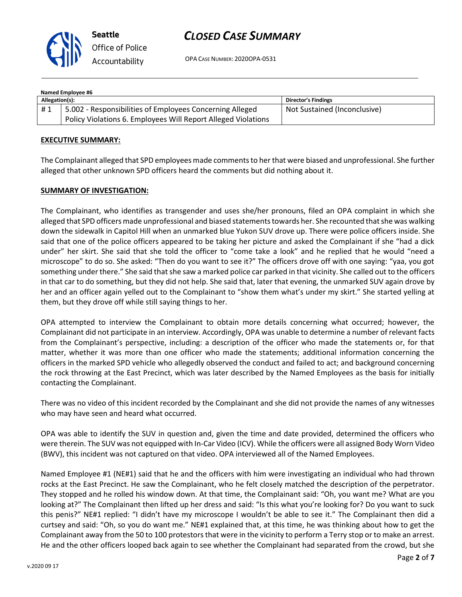

**Seattle** *Office of Police Accountability*

## *CLOSED CASE SUMMARY*

OPA CASE NUMBER: 2020OPA-0531

| Named Employee #6 |                                                               |                              |  |  |
|-------------------|---------------------------------------------------------------|------------------------------|--|--|
| Allegation(s):    |                                                               | <b>Director's Findings</b>   |  |  |
| #1                | 5.002 - Responsibilities of Employees Concerning Alleged      | Not Sustained (Inconclusive) |  |  |
|                   | Policy Violations 6. Employees Will Report Alleged Violations |                              |  |  |

#### **EXECUTIVE SUMMARY:**

The Complainant alleged that SPD employees made comments to her that were biased and unprofessional. She further alleged that other unknown SPD officers heard the comments but did nothing about it.

#### **SUMMARY OF INVESTIGATION:**

The Complainant, who identifies as transgender and uses she/her pronouns, filed an OPA complaint in which she alleged that SPD officers made unprofessional and biased statements towards her. She recounted that she was walking down the sidewalk in Capitol Hill when an unmarked blue Yukon SUV drove up. There were police officers inside. She said that one of the police officers appeared to be taking her picture and asked the Complainant if she "had a dick under" her skirt. She said that she told the officer to "come take a look" and he replied that he would "need a microscope" to do so. She asked: "Then do you want to see it?" The officers drove off with one saying: "yaa, you got something under there." She said that she saw a marked police car parked in that vicinity. She called out to the officers in that car to do something, but they did not help. She said that, later that evening, the unmarked SUV again drove by her and an officer again yelled out to the Complainant to "show them what's under my skirt." She started yelling at them, but they drove off while still saying things to her.

OPA attempted to interview the Complainant to obtain more details concerning what occurred; however, the Complainant did not participate in an interview. Accordingly, OPA was unable to determine a number of relevant facts from the Complainant's perspective, including: a description of the officer who made the statements or, for that matter, whether it was more than one officer who made the statements; additional information concerning the officers in the marked SPD vehicle who allegedly observed the conduct and failed to act; and background concerning the rock throwing at the East Precinct, which was later described by the Named Employees as the basis for initially contacting the Complainant.

There was no video of this incident recorded by the Complainant and she did not provide the names of any witnesses who may have seen and heard what occurred.

OPA was able to identify the SUV in question and, given the time and date provided, determined the officers who were therein. The SUV was not equipped with In-Car Video (ICV). While the officers were all assigned Body Worn Video (BWV), this incident was not captured on that video. OPA interviewed all of the Named Employees.

Named Employee #1 (NE#1) said that he and the officers with him were investigating an individual who had thrown rocks at the East Precinct. He saw the Complainant, who he felt closely matched the description of the perpetrator. They stopped and he rolled his window down. At that time, the Complainant said: "Oh, you want me? What are you looking at?" The Complainant then lifted up her dress and said: "Is this what you're looking for? Do you want to suck this penis?" NE#1 replied: "I didn't have my microscope I wouldn't be able to see it." The Complainant then did a curtsey and said: "Oh, so you do want me." NE#1 explained that, at this time, he was thinking about how to get the Complainant away from the 50 to 100 protestors that were in the vicinity to perform a Terry stop or to make an arrest. He and the other officers looped back again to see whether the Complainant had separated from the crowd, but she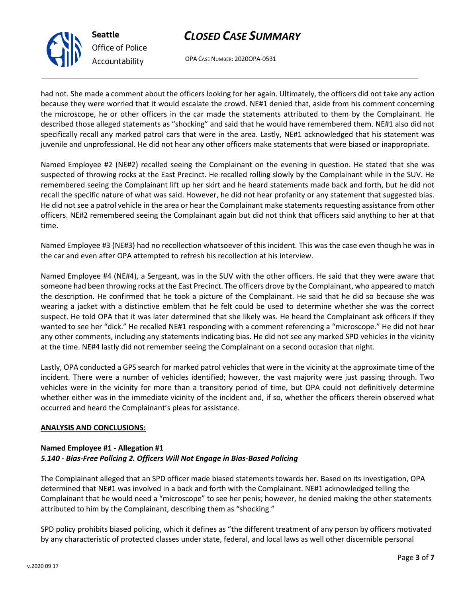OPA CASE NUMBER: 2020OPA-0531

had not. She made a comment about the officers looking for her again. Ultimately, the officers did not take any action because they were worried that it would escalate the crowd. NE#1 denied that, aside from his comment concerning the microscope, he or other officers in the car made the statements attributed to them by the Complainant. He described those alleged statements as "shocking" and said that he would have remembered them. NE#1 also did not specifically recall any marked patrol cars that were in the area. Lastly, NE#1 acknowledged that his statement was juvenile and unprofessional. He did not hear any other officers make statements that were biased or inappropriate.

Named Employee #2 (NE#2) recalled seeing the Complainant on the evening in question. He stated that she was suspected of throwing rocks at the East Precinct. He recalled rolling slowly by the Complainant while in the SUV. He remembered seeing the Complainant lift up her skirt and he heard statements made back and forth, but he did not recall the specific nature of what was said. However, he did not hear profanity or any statement that suggested bias. He did not see a patrol vehicle in the area or hear the Complainant make statements requesting assistance from other officers. NE#2 remembered seeing the Complainant again but did not think that officers said anything to her at that time.

Named Employee #3 (NE#3) had no recollection whatsoever of this incident. This was the case even though he was in the car and even after OPA attempted to refresh his recollection at his interview.

Named Employee #4 (NE#4), a Sergeant, was in the SUV with the other officers. He said that they were aware that someone had been throwing rocks at the East Precinct. The officers drove by the Complainant, who appeared to match the description. He confirmed that he took a picture of the Complainant. He said that he did so because she was wearing a jacket with a distinctive emblem that he felt could be used to determine whether she was the correct suspect. He told OPA that it was later determined that she likely was. He heard the Complainant ask officers if they wanted to see her "dick." He recalled NE#1 responding with a comment referencing a "microscope." He did not hear any other comments, including any statements indicating bias. He did not see any marked SPD vehicles in the vicinity at the time. NE#4 lastly did not remember seeing the Complainant on a second occasion that night.

Lastly, OPA conducted a GPS search for marked patrol vehicles that were in the vicinity at the approximate time of the incident. There were a number of vehicles identified; however, the vast majority were just passing through. Two vehicles were in the vicinity for more than a transitory period of time, but OPA could not definitively determine whether either was in the immediate vicinity of the incident and, if so, whether the officers therein observed what occurred and heard the Complainant's pleas for assistance.

#### **ANALYSIS AND CONCLUSIONS:**

#### **Named Employee #1 - Allegation #1** *5.140 - Bias-Free Policing 2. Officers Will Not Engage in Bias-Based Policing*

The Complainant alleged that an SPD officer made biased statements towards her. Based on its investigation, OPA determined that NE#1 was involved in a back and forth with the Complainant. NE#1 acknowledged telling the Complainant that he would need a "microscope" to see her penis; however, he denied making the other statements attributed to him by the Complainant, describing them as "shocking."

SPD policy prohibits biased policing, which it defines as "the different treatment of any person by officers motivated by any characteristic of protected classes under state, federal, and local laws as well other discernible personal



**Seattle** *Office of Police Accountability*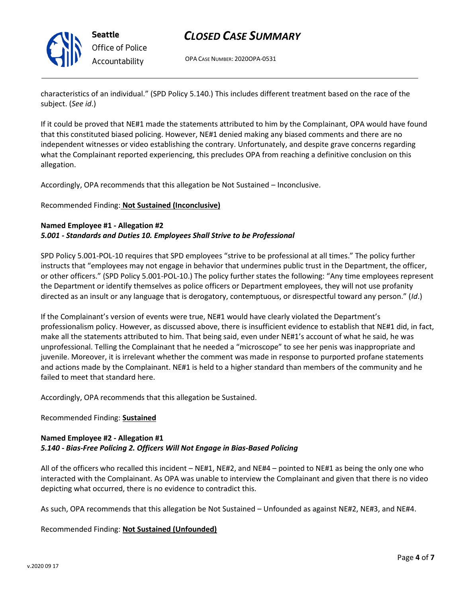

OPA CASE NUMBER: 2020OPA-0531

characteristics of an individual." (SPD Policy 5.140.) This includes different treatment based on the race of the subject. (*See id*.)

If it could be proved that NE#1 made the statements attributed to him by the Complainant, OPA would have found that this constituted biased policing. However, NE#1 denied making any biased comments and there are no independent witnesses or video establishing the contrary. Unfortunately, and despite grave concerns regarding what the Complainant reported experiencing, this precludes OPA from reaching a definitive conclusion on this allegation.

Accordingly, OPA recommends that this allegation be Not Sustained – Inconclusive.

#### Recommended Finding: **Not Sustained (Inconclusive)**

#### **Named Employee #1 - Allegation #2** *5.001 - Standards and Duties 10. Employees Shall Strive to be Professional*

SPD Policy 5.001-POL-10 requires that SPD employees "strive to be professional at all times." The policy further instructs that "employees may not engage in behavior that undermines public trust in the Department, the officer, or other officers." (SPD Policy 5.001-POL-10.) The policy further states the following: "Any time employees represent the Department or identify themselves as police officers or Department employees, they will not use profanity directed as an insult or any language that is derogatory, contemptuous, or disrespectful toward any person." (*Id*.)

If the Complainant's version of events were true, NE#1 would have clearly violated the Department's professionalism policy. However, as discussed above, there is insufficient evidence to establish that NE#1 did, in fact, make all the statements attributed to him. That being said, even under NE#1's account of what he said, he was unprofessional. Telling the Complainant that he needed a "microscope" to see her penis was inappropriate and juvenile. Moreover, it is irrelevant whether the comment was made in response to purported profane statements and actions made by the Complainant. NE#1 is held to a higher standard than members of the community and he failed to meet that standard here.

Accordingly, OPA recommends that this allegation be Sustained.

#### Recommended Finding: **Sustained**

#### **Named Employee #2 - Allegation #1** *5.140 - Bias-Free Policing 2. Officers Will Not Engage in Bias-Based Policing*

All of the officers who recalled this incident – NE#1, NE#2, and NE#4 – pointed to NE#1 as being the only one who interacted with the Complainant. As OPA was unable to interview the Complainant and given that there is no video depicting what occurred, there is no evidence to contradict this.

As such, OPA recommends that this allegation be Not Sustained – Unfounded as against NE#2, NE#3, and NE#4.

Recommended Finding: **Not Sustained (Unfounded)**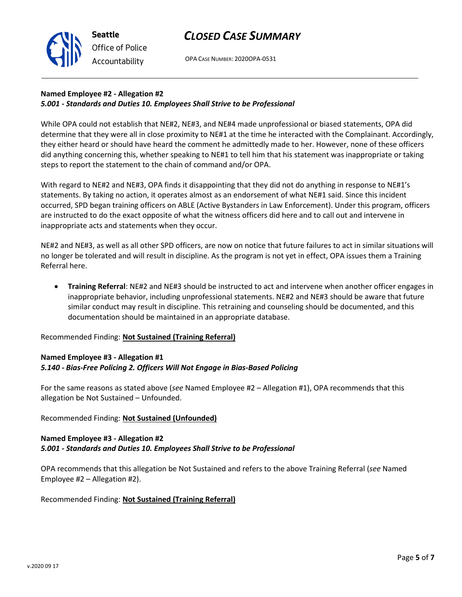

OPA CASE NUMBER: 2020OPA-0531

## **Named Employee #2 - Allegation #2** *5.001 - Standards and Duties 10. Employees Shall Strive to be Professional*

**Seattle**

*Office of Police Accountability*

While OPA could not establish that NE#2, NE#3, and NE#4 made unprofessional or biased statements, OPA did determine that they were all in close proximity to NE#1 at the time he interacted with the Complainant. Accordingly, they either heard or should have heard the comment he admittedly made to her. However, none of these officers did anything concerning this, whether speaking to NE#1 to tell him that his statement was inappropriate or taking steps to report the statement to the chain of command and/or OPA.

With regard to NE#2 and NE#3, OPA finds it disappointing that they did not do anything in response to NE#1's statements. By taking no action, it operates almost as an endorsement of what NE#1 said. Since this incident occurred, SPD began training officers on ABLE (Active Bystanders in Law Enforcement). Under this program, officers are instructed to do the exact opposite of what the witness officers did here and to call out and intervene in inappropriate acts and statements when they occur.

NE#2 and NE#3, as well as all other SPD officers, are now on notice that future failures to act in similar situations will no longer be tolerated and will result in discipline. As the program is not yet in effect, OPA issues them a Training Referral here.

• **Training Referral**: NE#2 and NE#3 should be instructed to act and intervene when another officer engages in inappropriate behavior, including unprofessional statements. NE#2 and NE#3 should be aware that future similar conduct may result in discipline. This retraining and counseling should be documented, and this documentation should be maintained in an appropriate database.

Recommended Finding: **Not Sustained (Training Referral)**

#### **Named Employee #3 - Allegation #1** *5.140 - Bias-Free Policing 2. Officers Will Not Engage in Bias-Based Policing*

For the same reasons as stated above (*see* Named Employee #2 – Allegation #1), OPA recommends that this allegation be Not Sustained – Unfounded.

#### Recommended Finding: **Not Sustained (Unfounded)**

#### **Named Employee #3 - Allegation #2** *5.001 - Standards and Duties 10. Employees Shall Strive to be Professional*

OPA recommends that this allegation be Not Sustained and refers to the above Training Referral (*see* Named Employee #2 – Allegation #2).

Recommended Finding: **Not Sustained (Training Referral)**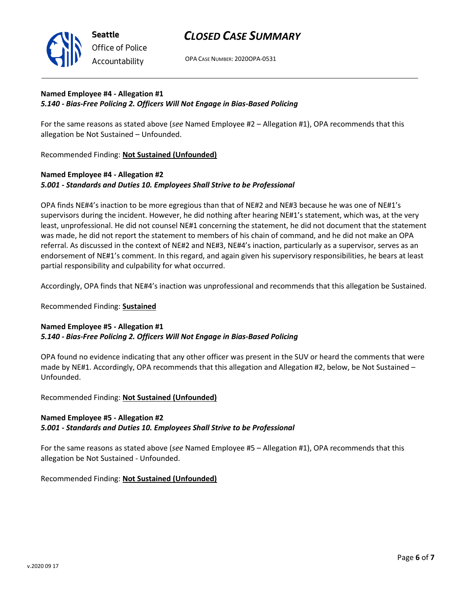

OPA CASE NUMBER: 2020OPA-0531

## **Named Employee #4 - Allegation #1** *5.140 - Bias-Free Policing 2. Officers Will Not Engage in Bias-Based Policing*

For the same reasons as stated above (*see* Named Employee #2 – Allegation #1), OPA recommends that this allegation be Not Sustained – Unfounded.

Recommended Finding: **Not Sustained (Unfounded)**

## **Named Employee #4 - Allegation #2** *5.001 - Standards and Duties 10. Employees Shall Strive to be Professional*

OPA finds NE#4's inaction to be more egregious than that of NE#2 and NE#3 because he was one of NE#1's supervisors during the incident. However, he did nothing after hearing NE#1's statement, which was, at the very least, unprofessional. He did not counsel NE#1 concerning the statement, he did not document that the statement was made, he did not report the statement to members of his chain of command, and he did not make an OPA referral. As discussed in the context of NE#2 and NE#3, NE#4's inaction, particularly as a supervisor, serves as an endorsement of NE#1's comment. In this regard, and again given his supervisory responsibilities, he bears at least partial responsibility and culpability for what occurred.

Accordingly, OPA finds that NE#4's inaction was unprofessional and recommends that this allegation be Sustained.

#### Recommended Finding: **Sustained**

#### **Named Employee #5 - Allegation #1** *5.140 - Bias-Free Policing 2. Officers Will Not Engage in Bias-Based Policing*

OPA found no evidence indicating that any other officer was present in the SUV or heard the comments that were made by NE#1. Accordingly, OPA recommends that this allegation and Allegation #2, below, be Not Sustained – Unfounded.

Recommended Finding: **Not Sustained (Unfounded)**

#### **Named Employee #5 - Allegation #2** *5.001 - Standards and Duties 10. Employees Shall Strive to be Professional*

For the same reasons as stated above (*see* Named Employee #5 – Allegation #1), OPA recommends that this allegation be Not Sustained - Unfounded.

Recommended Finding: **Not Sustained (Unfounded)**